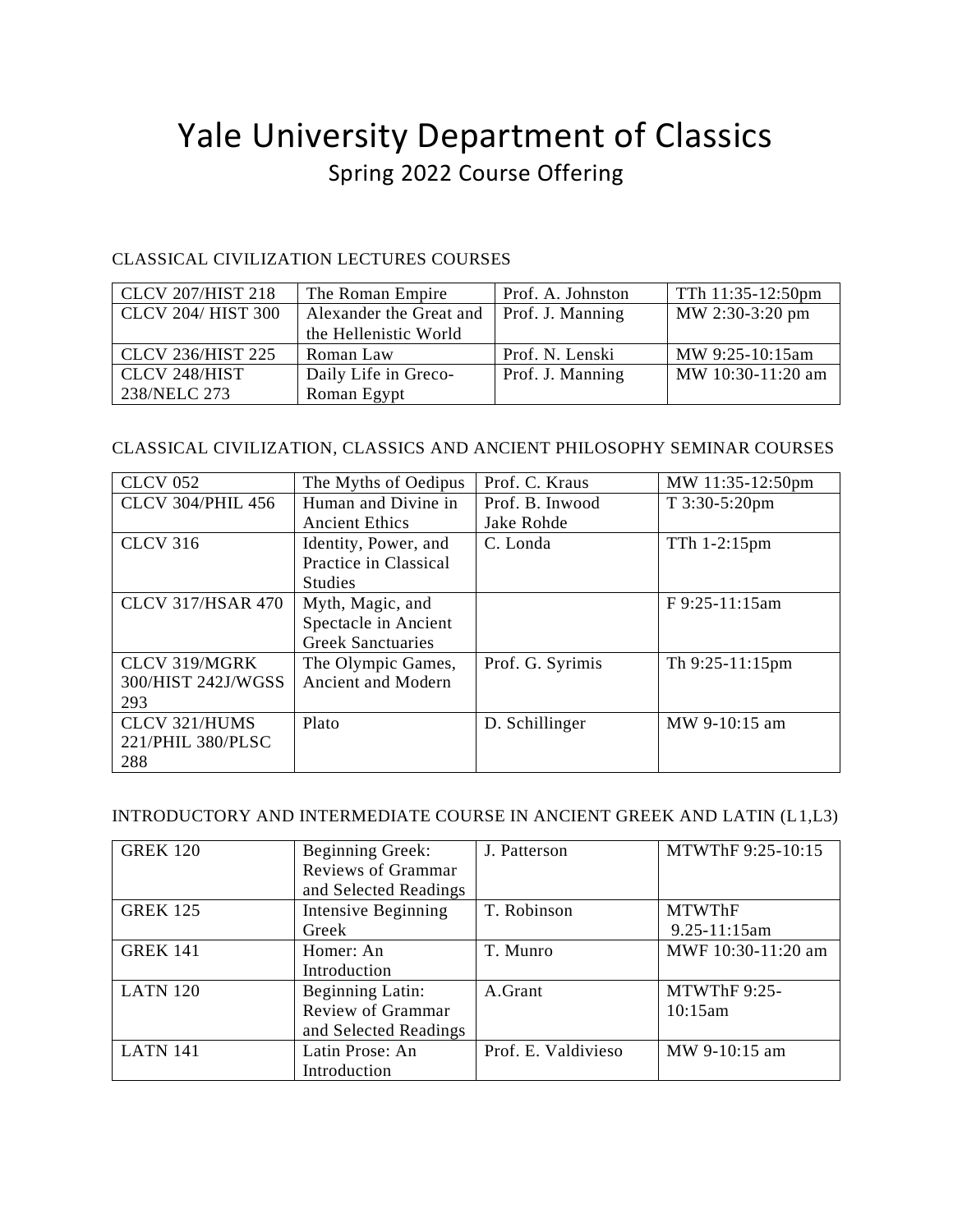# Yale University Department of Classics Spring 2022 Course Offering

#### CLASSICAL CIVILIZATION LECTURES COURSES

| <b>CLCV 207/HIST 218</b>  | The Roman Empire        | Prof. A. Johnston | TTh 11:35-12:50pm |
|---------------------------|-------------------------|-------------------|-------------------|
| <b>CLCV 204/ HIST 300</b> | Alexander the Great and | Prof. J. Manning  | MW 2:30-3:20 pm   |
|                           | the Hellenistic World   |                   |                   |
| <b>CLCV 236/HIST 225</b>  | Roman Law               | Prof. N. Lenski   | MW 9:25-10:15am   |
| CLCV 248/HIST             | Daily Life in Greco-    | Prof. J. Manning  | MW 10:30-11:20 am |
| 238/NELC 273              | Roman Egypt             |                   |                   |

### CLASSICAL CIVILIZATION, CLASSICS AND ANCIENT PHILOSOPHY SEMINAR COURSES

| <b>CLCV 052</b>          | The Myths of Oedipus     | Prof. C. Kraus   | MW 11:35-12:50pm |
|--------------------------|--------------------------|------------------|------------------|
| <b>CLCV 304/PHIL 456</b> | Human and Divine in      | Prof. B. Inwood  | T 3:30-5:20pm    |
|                          | <b>Ancient Ethics</b>    | Jake Rohde       |                  |
| <b>CLCV 316</b>          | Identity, Power, and     | C. Londa         | TTh 1-2:15pm     |
|                          | Practice in Classical    |                  |                  |
|                          | <b>Studies</b>           |                  |                  |
| <b>CLCV 317/HSAR 470</b> | Myth, Magic, and         |                  | F 9:25-11:15am   |
|                          | Spectacle in Ancient     |                  |                  |
|                          | <b>Greek Sanctuaries</b> |                  |                  |
| CLCV 319/MGRK            | The Olympic Games,       | Prof. G. Syrimis | Th 9:25-11:15pm  |
| 300/HIST 242J/WGSS       | Ancient and Modern       |                  |                  |
| 293                      |                          |                  |                  |
| CLCV 321/HUMS            | Plato                    | D. Schillinger   | MW 9-10:15 am    |
| 221/PHIL 380/PLSC        |                          |                  |                  |
| 288                      |                          |                  |                  |

#### INTRODUCTORY AND INTERMEDIATE COURSE IN ANCIENT GREEK AND LATIN (L1,L3)

| <b>GREK 120</b> | <b>Beginning Greek:</b>   | J. Patterson        | MTWThF 9:25-10:15  |
|-----------------|---------------------------|---------------------|--------------------|
|                 | <b>Reviews of Grammar</b> |                     |                    |
|                 | and Selected Readings     |                     |                    |
| <b>GREK 125</b> | Intensive Beginning       | T. Robinson         | <b>MTWThF</b>      |
|                 | Greek                     |                     | 9.25-11:15am       |
| <b>GREK 141</b> | Homer: An                 | T. Munro            | MWF 10:30-11:20 am |
|                 | Introduction              |                     |                    |
| <b>LATN 120</b> | <b>Beginning Latin:</b>   | A.Grant             | MTWThF 9:25-       |
|                 | Review of Grammar         |                     | 10:15am            |
|                 | and Selected Readings     |                     |                    |
| <b>LATN 141</b> | Latin Prose: An           | Prof. E. Valdivieso | MW 9-10:15 am      |
|                 | Introduction              |                     |                    |